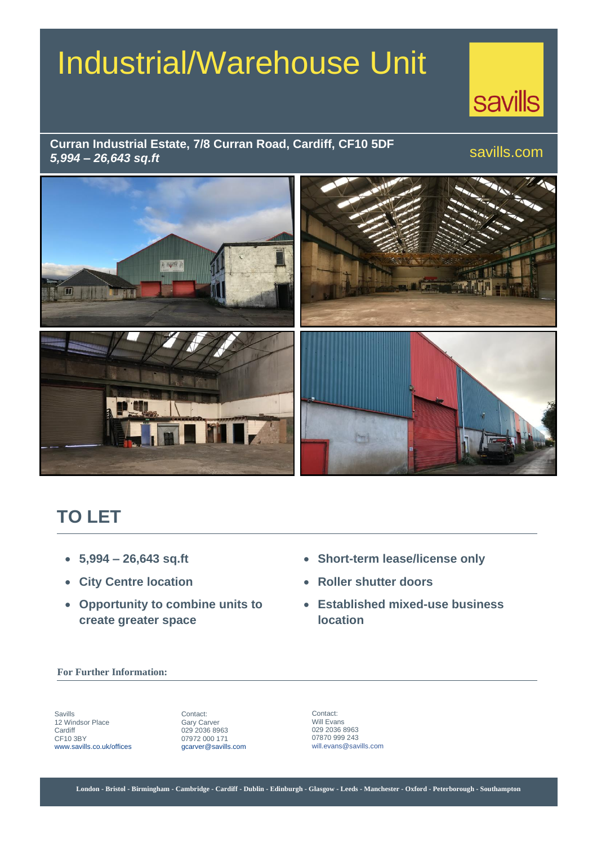# Industrial/Warehouse Unit



savills.com

#### **Curran Industrial Estate, 7/8 Curran Road, Cardiff, CF10 5DF** *5,994 – 26,643 sq.ft*



# **TO LET**

- **5,994 – 26,643 sq.ft**
- **City Centre location**
- **Opportunity to combine units to create greater space**
- **Short-term lease/license only**
- **Roller shutter doors**
- **Established mixed-use business location**

#### **For Further Information:**

Savills 12 Windsor Place **Cardiff** CF10 3BY www.savills.co.uk/offices

Contact: Gary Carver 029 2036 8963 07972 000 171 gcarver@savills.com

Contact: Will Evans 029 2036 8963 07870 999 243 will.evans@savills.com